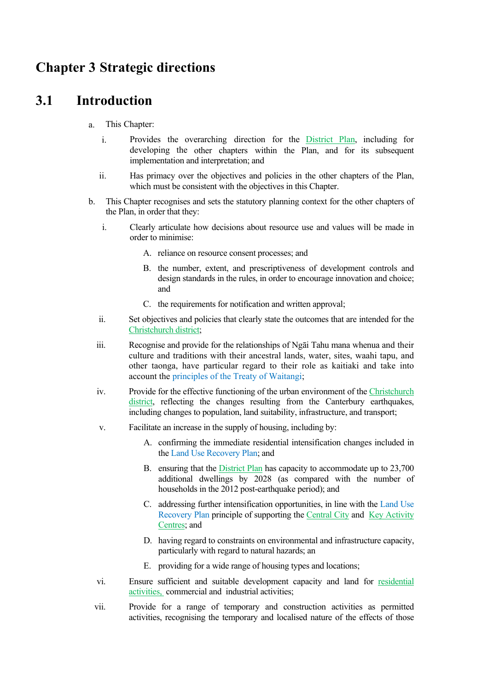# **Chapter 3 Strategic directions**

# **3.1 Introduction**

- a. This Chapter:
	- i. Provides the overarching direction for the District Plan, including for developing the other chapters within the Plan, and for its subsequent implementation and interpretation; and
	- ii. Has primacy over the objectives and policies in the other chapters of the Plan, which must be consistent with the objectives in this Chapter.
- b. This Chapter recognises and sets the statutory planning context for the other chapters of the Plan, in order that they:
	- i. Clearly articulate how decisions about resource use and values will be made in order to minimise:
		- A. reliance on resource consent processes; and
		- B. the number, extent, and prescriptiveness of development controls and design standards in the rules, in order to encourage innovation and choice; and
		- C. the requirements for notification and written approval;
	- ii. Set objectives and policies that clearly state the outcomes that are intended for the Christchurch district;
	- iii. Recognise and provide for the relationships of Ngāi Tahu mana whenua and their culture and traditions with their ancestral lands, water, sites, waahi tapu, and other taonga, have particular regard to their role as kaitiaki and take into account the principles of the Treaty of Waitangi;
	- iv. Provide for the effective functioning of the urban environment of the Christchurch district, reflecting the changes resulting from the Canterbury earthquakes, including changes to population, land suitability, infrastructure, and transport;
	- v. Facilitate an increase in the supply of housing, including by:
		- A. confirming the immediate residential intensification changes included in the Land Use Recovery Plan; and
		- B. ensuring that the District Plan has capacity to accommodate up to 23,700 additional dwellings by 2028 (as compared with the number of households in the 2012 post-earthquake period); and
		- C. addressing further intensification opportunities, in line with the Land Use Recovery Plan principle of supporting the Central City and Key Activity Centres; and
		- D. having regard to constraints on environmental and infrastructure capacity, particularly with regard to natural hazards; an
		- E. providing for a wide range of housing types and locations;
	- vi. Ensure sufficient and suitable development capacity and land for residential activities, commercial and industrial activities;
	- vii. Provide for a range of temporary and construction activities as permitted activities, recognising the temporary and localised nature of the effects of those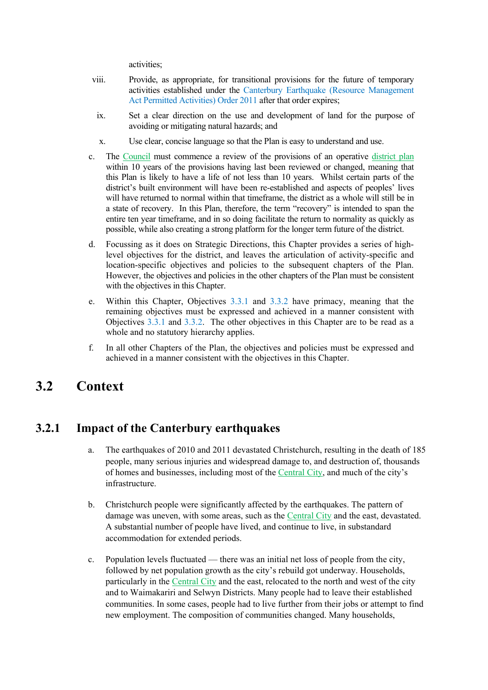activities;

- viii. Provide, as appropriate, for transitional provisions for the future of temporary activities established under the Canterbury Earthquake (Resource Management Act Permitted Activities) Order 2011 after that order expires;
- ix. Set a clear direction on the use and development of land for the purpose of avoiding or mitigating natural hazards; and
- x. Use clear, concise language so that the Plan is easy to understand and use.
- c. The Council must commence a review of the provisions of an operative district plan within 10 years of the provisions having last been reviewed or changed, meaning that this Plan is likely to have a life of not less than 10 years. Whilst certain parts of the district's built environment will have been re-established and aspects of peoples' lives will have returned to normal within that timeframe, the district as a whole will still be in a state of recovery. In this Plan, therefore, the term "recovery" is intended to span the entire ten year timeframe, and in so doing facilitate the return to normality as quickly as possible, while also creating a strong platform for the longer term future of the district.
- d. Focussing as it does on Strategic Directions, this Chapter provides a series of highlevel objectives for the district, and leaves the articulation of activity-specific and location-specific objectives and policies to the subsequent chapters of the Plan. However, the objectives and policies in the other chapters of the Plan must be consistent with the objectives in this Chapter.
- e. Within this Chapter, Objectives 3.3.1 and 3.3.2 have primacy, meaning that the remaining objectives must be expressed and achieved in a manner consistent with Objectives 3.3.1 and 3.3.2. The other objectives in this Chapter are to be read as a whole and no statutory hierarchy applies.
- f. In all other Chapters of the Plan, the objectives and policies must be expressed and achieved in a manner consistent with the objectives in this Chapter.

# **3.2 Context**

#### **3.2.1 Impact of the Canterbury earthquakes**

- a. The earthquakes of 2010 and 2011 devastated Christchurch, resulting in the death of 185 people, many serious injuries and widespread damage to, and destruction of, thousands of homes and businesses, including most of the Central City, and much of the city's infrastructure.
- b. Christchurch people were significantly affected by the earthquakes. The pattern of damage was uneven, with some areas, such as the Central City and the east, devastated. A substantial number of people have lived, and continue to live, in substandard accommodation for extended periods.
- c. Population levels fluctuated there was an initial net loss of people from the city, followed by net population growth as the city's rebuild got underway. Households, particularly in the Central City and the east, relocated to the north and west of the city and to Waimakariri and Selwyn Districts. Many people had to leave their established communities. In some cases, people had to live further from their jobs or attempt to find new employment. The composition of communities changed. Many households,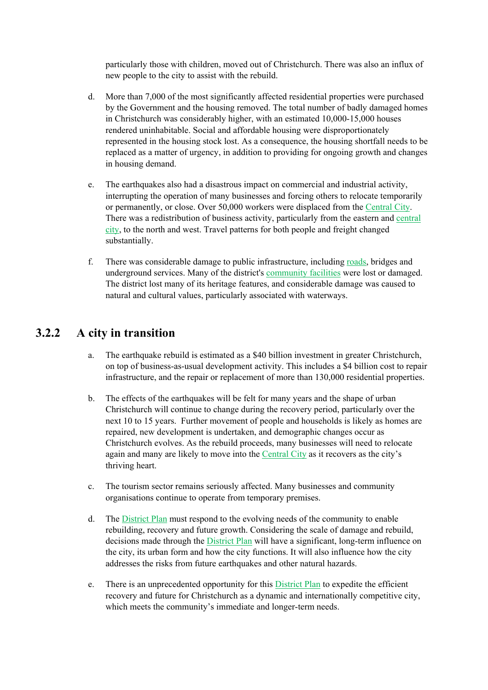particularly those with children, moved out of Christchurch. There was also an influx of new people to the city to assist with the rebuild.

- d. More than 7,000 of the most significantly affected residential properties were purchased by the Government and the housing removed. The total number of badly damaged homes in Christchurch was considerably higher, with an estimated 10,000-15,000 houses rendered uninhabitable. Social and affordable housing were disproportionately represented in the housing stock lost. As a consequence, the housing shortfall needs to be replaced as a matter of urgency, in addition to providing for ongoing growth and changes in housing demand.
- e. The earthquakes also had a disastrous impact on commercial and industrial activity, interrupting the operation of many businesses and forcing others to relocate temporarily or permanently, or close. Over 50,000 workers were displaced from the Central City. There was a redistribution of business activity, particularly from the eastern and central city, to the north and west. Travel patterns for both people and freight changed substantially.
- f. There was considerable damage to public infrastructure, including roads, bridges and underground services. Many of the district's community facilities were lost or damaged. The district lost many of its heritage features, and considerable damage was caused to natural and cultural values, particularly associated with waterways.

#### **3.2.2 A city in transition**

- a. The earthquake rebuild is estimated as a \$40 billion investment in greater Christchurch, on top of business-as-usual development activity. This includes a \$4 billion cost to repair infrastructure, and the repair or replacement of more than 130,000 residential properties.
- b. The effects of the earthquakes will be felt for many years and the shape of urban Christchurch will continue to change during the recovery period, particularly over the next 10 to 15 years. Further movement of people and households is likely as homes are repaired, new development is undertaken, and demographic changes occur as Christchurch evolves. As the rebuild proceeds, many businesses will need to relocate again and many are likely to move into the Central City as it recovers as the city's thriving heart.
- c. The tourism sector remains seriously affected. Many businesses and community organisations continue to operate from temporary premises.
- d. The District Plan must respond to the evolving needs of the community to enable rebuilding, recovery and future growth. Considering the scale of damage and rebuild, decisions made through the District Plan will have a significant, long-term influence on the city, its urban form and how the city functions. It will also influence how the city addresses the risks from future earthquakes and other natural hazards.
- e. There is an unprecedented opportunity for this District Plan to expedite the efficient recovery and future for Christchurch as a dynamic and internationally competitive city, which meets the community's immediate and longer-term needs.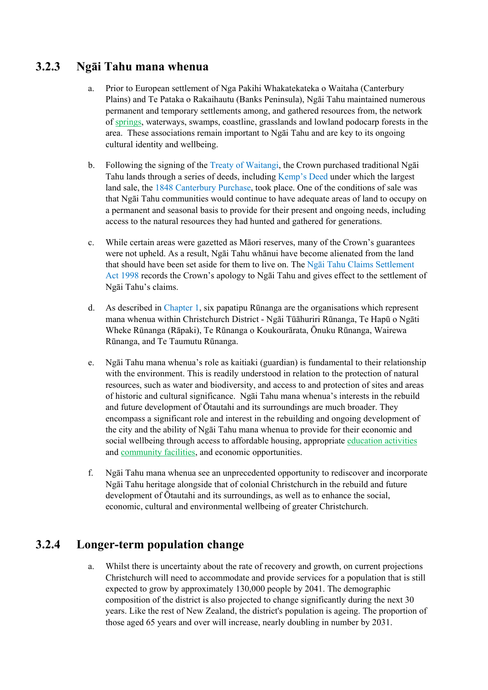# **3.2.3 Ngāi Tahu mana whenua**

- a. Prior to European settlement of Nga Pakihi Whakatekateka o Waitaha (Canterbury Plains) and Te Pataka o Rakaihautu (Banks Peninsula), Ngāi Tahu maintained numerous permanent and temporary settlements among, and gathered resources from, the network of springs, waterways, swamps, coastline, grasslands and lowland podocarp forests in the area. These associations remain important to Ngāi Tahu and are key to its ongoing cultural identity and wellbeing.
- b. Following the signing of the Treaty of Waitangi, the Crown purchased traditional Ngāi Tahu lands through a series of deeds, including Kemp's Deed under which the largest land sale, the 1848 Canterbury Purchase, took place. One of the conditions of sale was that Ngāi Tahu communities would continue to have adequate areas of land to occupy on a permanent and seasonal basis to provide for their present and ongoing needs, including access to the natural resources they had hunted and gathered for generations.
- c. While certain areas were gazetted as Māori reserves, many of the Crown's guarantees were not upheld. As a result, Ngāi Tahu whānui have become alienated from the land that should have been set aside for them to live on. The Ngāi Tahu Claims Settlement Act 1998 records the Crown's apology to Ngāi Tahu and gives effect to the settlement of Ngāi Tahu's claims.
- d. As described in Chapter 1, six papatipu Rūnanga are the organisations which represent mana whenua within Christchurch District - Ngāi Tūāhuriri Rūnanga, Te Hapū o Ngāti Wheke Rūnanga (Rāpaki), Te Rūnanga o Koukourārata, Ōnuku Rūnanga, Wairewa Rūnanga, and Te Taumutu Rūnanga.
- e. Ngāi Tahu mana whenua's role as kaitiaki (guardian) is fundamental to their relationship with the environment. This is readily understood in relation to the protection of natural resources, such as water and biodiversity, and access to and protection of sites and areas of historic and cultural significance. Ngāi Tahu mana whenua's interests in the rebuild and future development of Ōtautahi and its surroundings are much broader. They encompass a significant role and interest in the rebuilding and ongoing development of the city and the ability of Ngāi Tahu mana whenua to provide for their economic and social wellbeing through access to affordable housing, appropriate education activities and community facilities, and economic opportunities.
- f. Ngāi Tahu mana whenua see an unprecedented opportunity to rediscover and incorporate Ngāi Tahu heritage alongside that of colonial Christchurch in the rebuild and future development of Ōtautahi and its surroundings, as well as to enhance the social, economic, cultural and environmental wellbeing of greater Christchurch.

# **3.2.4 Longer-term population change**

a. Whilst there is uncertainty about the rate of recovery and growth, on current projections Christchurch will need to accommodate and provide services for a population that is still expected to grow by approximately 130,000 people by 2041. The demographic composition of the district is also projected to change significantly during the next 30 years. Like the rest of New Zealand, the district's population is ageing. The proportion of those aged 65 years and over will increase, nearly doubling in number by 2031.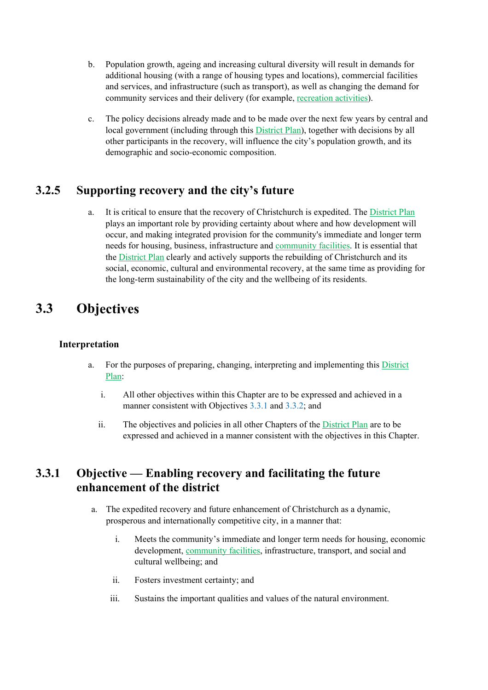- b. Population growth, ageing and increasing cultural diversity will result in demands for additional housing (with a range of housing types and locations), commercial facilities and services, and infrastructure (such as transport), as well as changing the demand for community services and their delivery (for example, recreation activities).
- c. The policy decisions already made and to be made over the next few years by central and local government (including through this District Plan), together with decisions by all other participants in the recovery, will influence the city's population growth, and its demographic and socio-economic composition.

#### **3.2.5 Supporting recovery and the city's future**

a. It is critical to ensure that the recovery of Christchurch is expedited. The District Plan plays an important role by providing certainty about where and how development will occur, and making integrated provision for the community's immediate and longer term needs for housing, business, infrastructure and community facilities. It is essential that the District Plan clearly and actively supports the rebuilding of Christchurch and its social, economic, cultural and environmental recovery, at the same time as providing for the long-term sustainability of the city and the wellbeing of its residents.

# **3.3 Objectives**

#### **Interpretation**

- a. For the purposes of preparing, changing, interpreting and implementing this District Plan:
	- i. All other objectives within this Chapter are to be expressed and achieved in a manner consistent with Objectives 3.3.1 and 3.3.2; and
	- ii. The objectives and policies in all other Chapters of the District Plan are to be expressed and achieved in a manner consistent with the objectives in this Chapter.

#### **3.3.1 Objective — Enabling recovery and facilitating the future enhancement of the district**

- a. The expedited recovery and future enhancement of Christchurch as a dynamic, prosperous and internationally competitive city, in a manner that:
	- i. Meets the community's immediate and longer term needs for housing, economic development, community facilities, infrastructure, transport, and social and cultural wellbeing; and
	- ii. Fosters investment certainty; and
	- iii. Sustains the important qualities and values of the natural environment.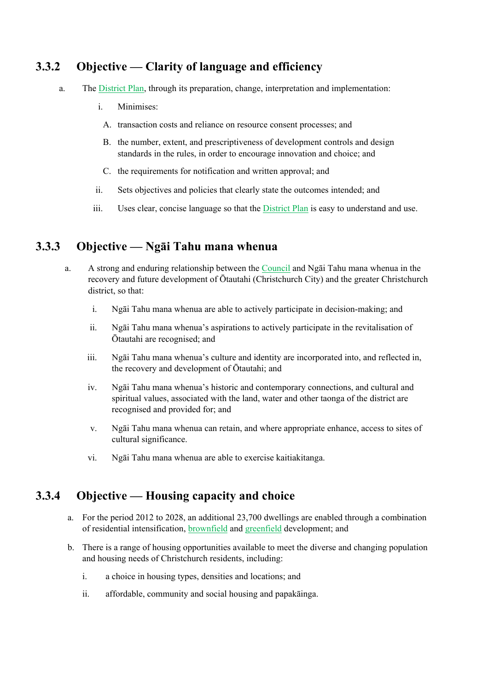#### **3.3.2 Objective — Clarity of language and efficiency**

- a. The District Plan, through its preparation, change, interpretation and implementation:
	- i. Minimises:
	- A. transaction costs and reliance on resource consent processes; and
	- B. the number, extent, and prescriptiveness of development controls and design standards in the rules, in order to encourage innovation and choice; and
	- C. the requirements for notification and written approval; and
	- ii. Sets objectives and policies that clearly state the outcomes intended; and
	- iii. Uses clear, concise language so that the District Plan is easy to understand and use.

#### **3.3.3 Objective — Ngāi Tahu mana whenua**

- a. A strong and enduring relationship between the Council and Ngāi Tahu mana whenua in the recovery and future development of Ōtautahi (Christchurch City) and the greater Christchurch district, so that:
	- i. Ngāi Tahu mana whenua are able to actively participate in decision-making; and
	- ii. Ngāi Tahu mana whenua's aspirations to actively participate in the revitalisation of Ōtautahi are recognised; and
	- iii. Ngāi Tahu mana whenua's culture and identity are incorporated into, and reflected in, the recovery and development of Ōtautahi; and
	- iv. Ngāi Tahu mana whenua's historic and contemporary connections, and cultural and spiritual values, associated with the land, water and other taonga of the district are recognised and provided for; and
	- v. Ngāi Tahu mana whenua can retain, and where appropriate enhance, access to sites of cultural significance.
	- vi. Ngāi Tahu mana whenua are able to exercise kaitiakitanga.

#### **3.3.4 Objective — Housing capacity and choice**

- a. For the period 2012 to 2028, an additional 23,700 dwellings are enabled through a combination of residential intensification, brownfield and greenfield development; and
- b. There is a range of housing opportunities available to meet the diverse and changing population and housing needs of Christchurch residents, including:
	- i. a choice in housing types, densities and locations; and
	- ii. affordable, community and social housing and papakāinga.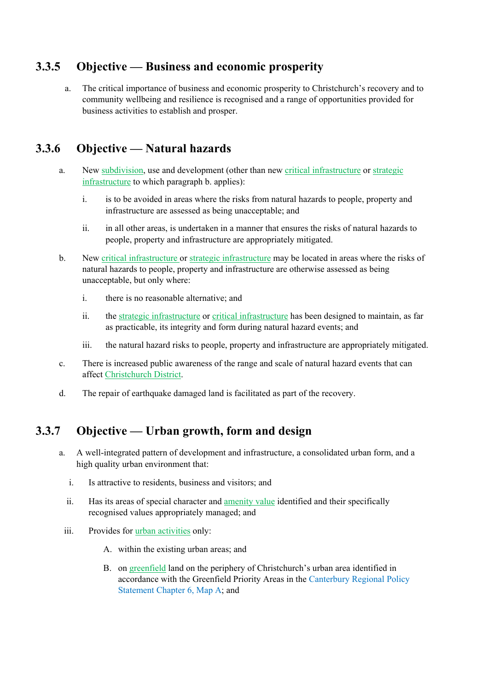# **3.3.5 Objective — Business and economic prosperity**

a. The critical importance of business and economic prosperity to Christchurch's recovery and to community wellbeing and resilience is recognised and a range of opportunities provided for business activities to establish and prosper.

# **3.3.6 Objective — Natural hazards**

- a. New subdivision, use and development (other than new critical infrastructure or strategic infrastructure to which paragraph b. applies):
	- i. is to be avoided in areas where the risks from natural hazards to people, property and infrastructure are assessed as being unacceptable; and
	- ii. in all other areas, is undertaken in a manner that ensures the risks of natural hazards to people, property and infrastructure are appropriately mitigated.
- b. New critical infrastructure or strategic infrastructure may be located in areas where the risks of natural hazards to people, property and infrastructure are otherwise assessed as being unacceptable, but only where:
	- i. there is no reasonable alternative; and
	- ii. the strategic infrastructure or critical infrastructure has been designed to maintain, as far as practicable, its integrity and form during natural hazard events; and
	- iii. the natural hazard risks to people, property and infrastructure are appropriately mitigated.
- c. There is increased public awareness of the range and scale of natural hazard events that can affect Christchurch District.
- d. The repair of earthquake damaged land is facilitated as part of the recovery.

# **3.3.7 Objective — Urban growth, form and design**

- a. A well-integrated pattern of development and infrastructure, a consolidated urban form, and a high quality urban environment that:
	- i. Is attractive to residents, business and visitors; and
	- ii. Has its areas of special character and amenity value identified and their specifically recognised values appropriately managed; and
	- iii. Provides for urban activities only:
		- A. within the existing urban areas; and
		- B. on greenfield land on the periphery of Christchurch's urban area identified in accordance with the Greenfield Priority Areas in the Canterbury Regional Policy Statement Chapter 6, Map A; and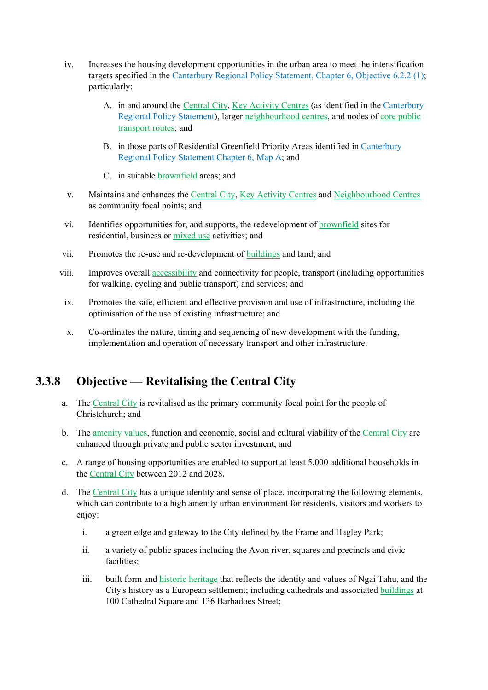- iv. Increases the housing development opportunities in the urban area to meet the intensification targets specified in the Canterbury Regional Policy Statement, Chapter 6, Objective 6.2.2 (1); particularly:
	- A. in and around the Central City, Key Activity Centres (as identified in the Canterbury Regional Policy Statement), larger neighbourhood centres, and nodes of core public transport routes; and
	- B. in those parts of Residential Greenfield Priority Areas identified in Canterbury Regional Policy Statement Chapter 6, Map A; and
	- C. in suitable brownfield areas; and
- v. Maintains and enhances the Central City, Key Activity Centres and Neighbourhood Centres as community focal points; and
- vi. Identifies opportunities for, and supports, the redevelopment of brownfield sites for residential, business or mixed use activities; and
- vii. Promotes the re-use and re-development of buildings and land; and
- viii. Improves overall accessibility and connectivity for people, transport (including opportunities for walking, cycling and public transport) and services; and
	- ix. Promotes the safe, efficient and effective provision and use of infrastructure, including the optimisation of the use of existing infrastructure; and
	- x. Co-ordinates the nature, timing and sequencing of new development with the funding, implementation and operation of necessary transport and other infrastructure.

# **3.3.8 Objective — Revitalising the Central City**

- a. The Central City is revitalised as the primary community focal point for the people of Christchurch; and
- b. The amenity values, function and economic, social and cultural viability of the Central City are enhanced through private and public sector investment, and
- c. A range of housing opportunities are enabled to support at least 5,000 additional households in the Central City between 2012 and 2028**.**
- d. The Central City has a unique identity and sense of place, incorporating the following elements, which can contribute to a high amenity urban environment for residents, visitors and workers to enjoy:
	- i. a green edge and gateway to the City defined by the Frame and Hagley Park;
	- ii. a variety of public spaces including the Avon river, squares and precincts and civic facilities<sup>.</sup>
	- iii. built form and historic heritage that reflects the identity and values of Ngai Tahu, and the City's history as a European settlement; including cathedrals and associated buildings at 100 Cathedral Square and 136 Barbadoes Street;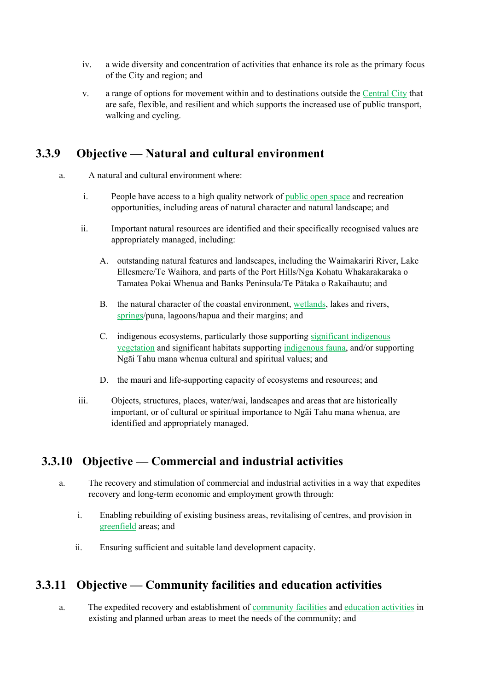- iv. a wide diversity and concentration of activities that enhance its role as the primary focus of the City and region; and
- v. a range of options for movement within and to destinations outside the Central City that are safe, flexible, and resilient and which supports the increased use of public transport, walking and cycling.

# **3.3.9 Objective — Natural and cultural environment**

- a. A natural and cultural environment where:
	- i. People have access to a high quality network of public open space and recreation opportunities, including areas of natural character and natural landscape; and
	- ii. Important natural resources are identified and their specifically recognised values are appropriately managed, including:
		- A. outstanding natural features and landscapes, including the Waimakariri River, Lake Ellesmere/Te Waihora, and parts of the Port Hills/Nga Kohatu Whakarakaraka o Tamatea Pokai Whenua and Banks Peninsula/Te Pātaka o Rakaihautu; and
		- B. the natural character of the coastal environment, wetlands, lakes and rivers, springs/puna, lagoons/hapua and their margins; and
		- C. indigenous ecosystems, particularly those supporting significant indigenous vegetation and significant habitats supporting indigenous fauna, and/or supporting Ngāi Tahu mana whenua cultural and spiritual values; and
		- D. the mauri and life-supporting capacity of ecosystems and resources; and
	- iii. Objects, structures, places, water/wai, landscapes and areas that are historically important, or of cultural or spiritual importance to Ngāi Tahu mana whenua, are identified and appropriately managed.

# **3.3.10 Objective — Commercial and industrial activities**

- a. The recovery and stimulation of commercial and industrial activities in a way that expedites recovery and long-term economic and employment growth through:
	- i. Enabling rebuilding of existing business areas, revitalising of centres, and provision in greenfield areas; and
	- ii. Ensuring sufficient and suitable land development capacity.

#### **3.3.11 Objective — Community facilities and education activities**

a. The expedited recovery and establishment of community facilities and education activities in existing and planned urban areas to meet the needs of the community; and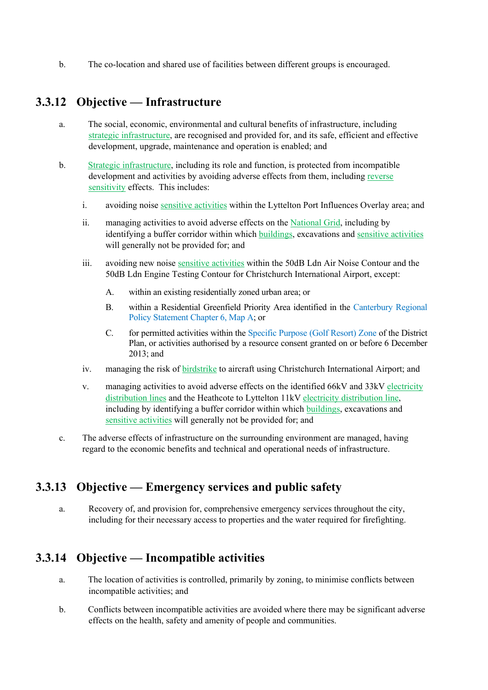b. The co-location and shared use of facilities between different groups is encouraged.

#### **3.3.12 Objective — Infrastructure**

- a. The social, economic, environmental and cultural benefits of infrastructure, including strategic infrastructure, are recognised and provided for, and its safe, efficient and effective development, upgrade, maintenance and operation is enabled; and
- b. Strategic infrastructure, including its role and function, is protected from incompatible development and activities by avoiding adverse effects from them, including reverse sensitivity effects. This includes:
	- i. avoiding noise sensitive activities within the Lyttelton Port Influences Overlay area; and
	- ii. managing activities to avoid adverse effects on the National Grid, including by identifying a buffer corridor within which buildings, excavations and sensitive activities will generally not be provided for; and
	- iii. avoiding new noise sensitive activities within the 50dB Ldn Air Noise Contour and the 50dB Ldn Engine Testing Contour for Christchurch International Airport, except:
		- A. within an existing residentially zoned urban area; or
		- B. within a Residential Greenfield Priority Area identified in the Canterbury Regional Policy Statement Chapter 6, Map A; or
		- C. for permitted activities within the Specific Purpose (Golf Resort) Zone of the District Plan, or activities authorised by a resource consent granted on or before 6 December 2013; and
	- iv. managing the risk of birdstrike to aircraft using Christchurch International Airport; and
	- v. managing activities to avoid adverse effects on the identified 66kV and 33kV electricity distribution lines and the Heathcote to Lyttelton 11kV electricity distribution line, including by identifying a buffer corridor within which buildings, excavations and sensitive activities will generally not be provided for; and
- c. The adverse effects of infrastructure on the surrounding environment are managed, having regard to the economic benefits and technical and operational needs of infrastructure.

#### **3.3.13 Objective — Emergency services and public safety**

a. Recovery of, and provision for, comprehensive emergency services throughout the city, including for their necessary access to properties and the water required for firefighting.

# **3.3.14 Objective — Incompatible activities**

- a. The location of activities is controlled, primarily by zoning, to minimise conflicts between incompatible activities; and
- b. Conflicts between incompatible activities are avoided where there may be significant adverse effects on the health, safety and amenity of people and communities.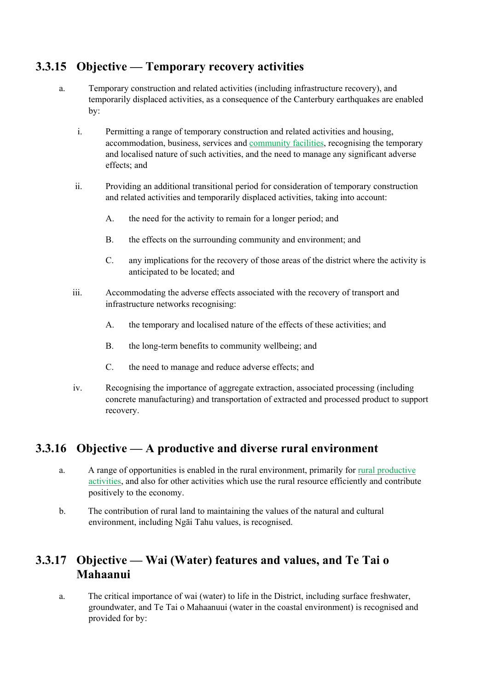#### **3.3.15 Objective — Temporary recovery activities**

- a. Temporary construction and related activities (including infrastructure recovery), and temporarily displaced activities, as a consequence of the Canterbury earthquakes are enabled by:
	- i. Permitting a range of temporary construction and related activities and housing, accommodation, business, services and community facilities, recognising the temporary and localised nature of such activities, and the need to manage any significant adverse effects; and
	- ii. Providing an additional transitional period for consideration of temporary construction and related activities and temporarily displaced activities, taking into account:
		- A. the need for the activity to remain for a longer period; and
		- B. the effects on the surrounding community and environment; and
		- C. any implications for the recovery of those areas of the district where the activity is anticipated to be located; and
	- iii. Accommodating the adverse effects associated with the recovery of transport and infrastructure networks recognising:
		- A. the temporary and localised nature of the effects of these activities; and
		- B. the long-term benefits to community wellbeing; and
		- C. the need to manage and reduce adverse effects; and
	- iv. Recognising the importance of aggregate extraction, associated processing (including concrete manufacturing) and transportation of extracted and processed product to support recovery.

#### **3.3.16 Objective — A productive and diverse rural environment**

- a. A range of opportunities is enabled in the rural environment, primarily for rural productive activities, and also for other activities which use the rural resource efficiently and contribute positively to the economy.
- b. The contribution of rural land to maintaining the values of the natural and cultural environment, including Ngāi Tahu values, is recognised.

# **3.3.17 Objective — Wai (Water) features and values, and Te Tai o Mahaanui**

a. The critical importance of wai (water) to life in the District, including surface freshwater, groundwater, and Te Tai o Mahaanuui (water in the coastal environment) is recognised and provided for by: